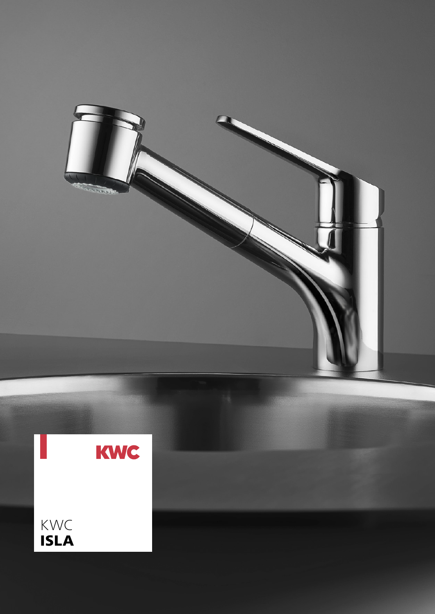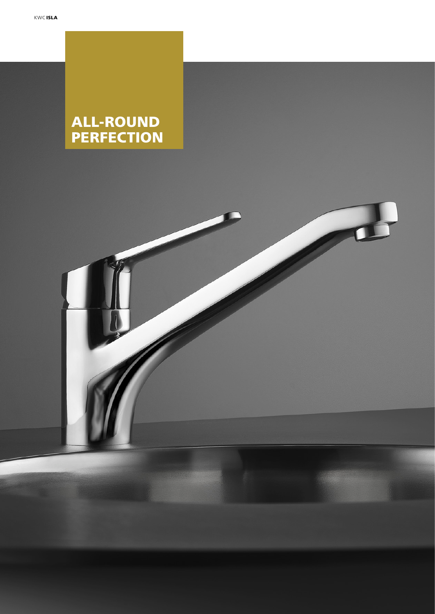# ALL-ROUND PERFECTION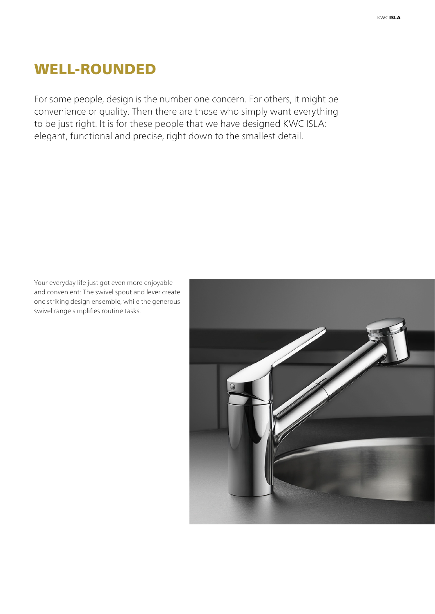# WELL-ROUNDED

For some people, design is the number one concern. For others, it might be convenience or quality. Then there are those who simply want everything to be just right. It is for these people that we have designed KWC ISLA: elegant, functional and precise, right down to the smallest detail.

Your everyday life just got even more enjoyable and convenient: The swivel spout and lever create one striking design ensemble, while the generous swivel range simplifies routine tasks.

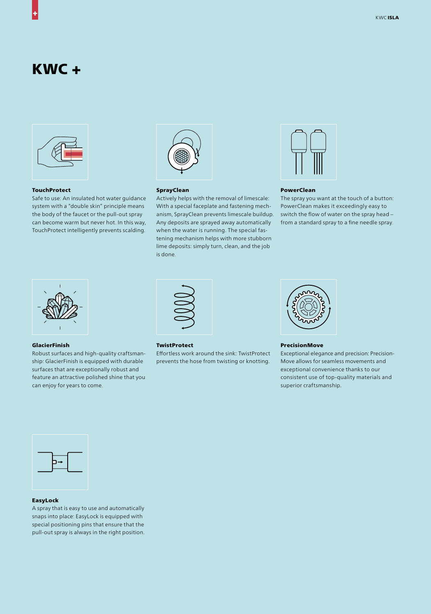# KWC +



### **TouchProtect**

Safe to use: An insulated hot water guidance system with a "double skin" principle means the body of the faucet or the pull-out spray can become warm but never hot. In this way, TouchProtect intelligently prevents scalding.



## **SprayClean**

Actively helps with the removal of limescale: With a special faceplate and fastening mechanism, SprayClean prevents limescale buildup. Any deposits are sprayed away automatically when the water is running. The special fastening mechanism helps with more stubborn lime deposits: simply turn, clean, and the job is done.



#### PowerClean

The spray you want at the touch of a button: PowerClean makes it exceedingly easy to switch the flow of water on the spray head – from a standard spray to a fine needle spray.



#### GlacierFinish

Robust surfaces and high-quality craftsmanship: GlacierFinish is equipped with durable surfaces that are exceptionally robust and feature an attractive polished shine that you can enjoy for years to come.



#### **TwistProtect**

Effortless work around the sink: TwistProtect prevents the hose from twisting or knotting.



PrecisionMove

Exceptional elegance and precision: Precision-Move allows for seamless movements and exceptional convenience thanks to our consistent use of top-quality materials and superior craftsmanship.



## EasyLock

A spray that is easy to use and automatically snaps into place: EasyLock is equipped with special positioning pins that ensure that the pull-out spray is always in the right position.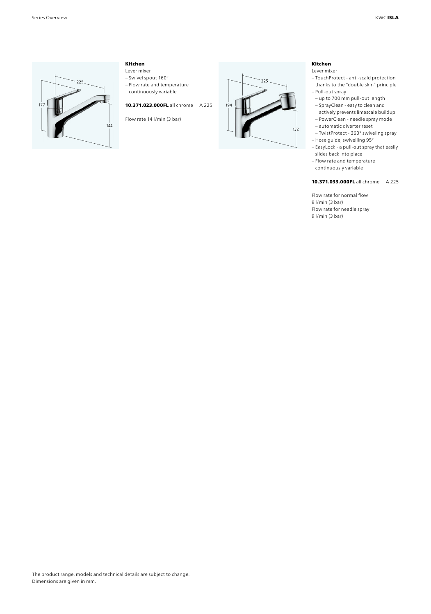

# Kitchen

Lever mixer

- Swivel spout 160° – Flow rate and temperature
- continuously variable

10.371.023.000FL all chrome A 225

Flow rate 14 l/min (3 bar)



# Kitchen

- Lever mixer
- TouchProtect anti-scald protection thanks to the "double skin" principle – Pull-out spray
- up to 700 mm pull-out length
- SprayClean easy to clean and actively prevents limescale buildup
- PowerClean needle spray mode
- automatic diverter reset – TwistProtect - 360° swiveling spray
- Hose guide, swivelling 95° – EasyLock - a pull-out spray that easily
- slides back into place
- Flow rate and temperature continuously variable

### 10.371.033.000FL all chrome A 225

Flow rate for normal flow 9 l/min (3 bar) Flow rate for needle spray 9 l/min (3 bar)